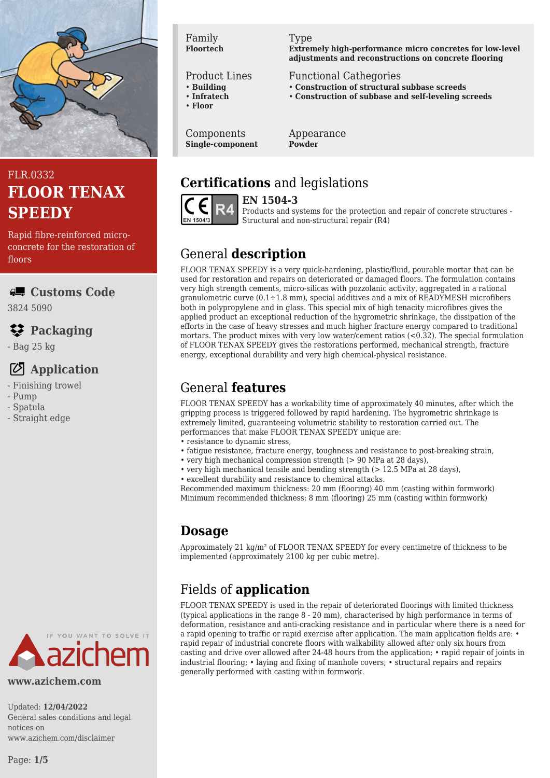

# FLR.0332 **FLOOR TENAX SPEEDY**

Rapid fibre-reinforced microconcrete for the restoration of floors

### **Customs Code**

3824 5090

# **Packaging**

- Bag 25 kg

## **Application**

- Finishing trowel
- Pump
- Spatula
- Straight edge

#### **www.azichem.com**

Updated: **12/04/2022** General sales conditions and legal notices on www.azichem.com/disclaimer

#### Family **Floortech**

#### Product Lines

- **Building**
- **Infratech**
- **Floor**

Components **Single-component**

#### Type

**Extremely high-performance micro concretes for low-level adjustments and reconstructions on concrete flooring**

#### Functional Cathegories

- **Construction of structural subbase screeds**
- **Construction of subbase and self-leveling screeds**

Appearance **Powder**

# **Certifications** and legislations



**EN 1504-3**

Products and systems for the protection and repair of concrete structures - Structural and non-structural repair (R4)

# General **description**

FLOOR TENAX SPEEDY is a very quick-hardening, plastic/fluid, pourable mortar that can be used for restoration and repairs on deteriorated or damaged floors. The formulation contains very high strength cements, micro-silicas with pozzolanic activity, aggregated in a rational granulometric curve  $(0.1 \div 1.8 \text{ mm})$ , special additives and a mix of READYMESH microfibers both in polypropylene and in glass. This special mix of high tenacity microfibres gives the applied product an exceptional reduction of the hygrometric shrinkage, the dissipation of the efforts in the case of heavy stresses and much higher fracture energy compared to traditional mortars. The product mixes with very low water/cement ratios (<0.32). The special formulation of FLOOR TENAX SPEEDY gives the restorations performed, mechanical strength, fracture energy, exceptional durability and very high chemical-physical resistance.

## General **features**

FLOOR TENAX SPEEDY has a workability time of approximately 40 minutes, after which the gripping process is triggered followed by rapid hardening. The hygrometric shrinkage is extremely limited, guaranteeing volumetric stability to restoration carried out. The performances that make FLOOR TENAX SPEEDY unique are:

- resistance to dynamic stress.
- fatigue resistance, fracture energy, toughness and resistance to post-breaking strain,
- very high mechanical compression strength (> 90 MPa at 28 days),
- very high mechanical tensile and bending strength (> 12.5 MPa at 28 days),
- excellent durability and resistance to chemical attacks.

Recommended maximum thickness: 20 mm (flooring) 40 mm (casting within formwork) Minimum recommended thickness: 8 mm (flooring) 25 mm (casting within formwork)

# **Dosage**

Approximately 21 kg/m² of FLOOR TENAX SPEEDY for every centimetre of thickness to be implemented (approximately 2100 kg per cubic metre).

# Fields of **application**

FLOOR TENAX SPEEDY is used in the repair of deteriorated floorings with limited thickness (typical applications in the range 8 - 20 mm), characterised by high performance in terms of deformation, resistance and anti-cracking resistance and in particular where there is a need for a rapid opening to traffic or rapid exercise after application. The main application fields are: • rapid repair of industrial concrete floors with walkability allowed after only six hours from casting and drive over allowed after 24-48 hours from the application; • rapid repair of joints in industrial flooring; • laying and fixing of manhole covers; • structural repairs and repairs generally performed with casting within formwork.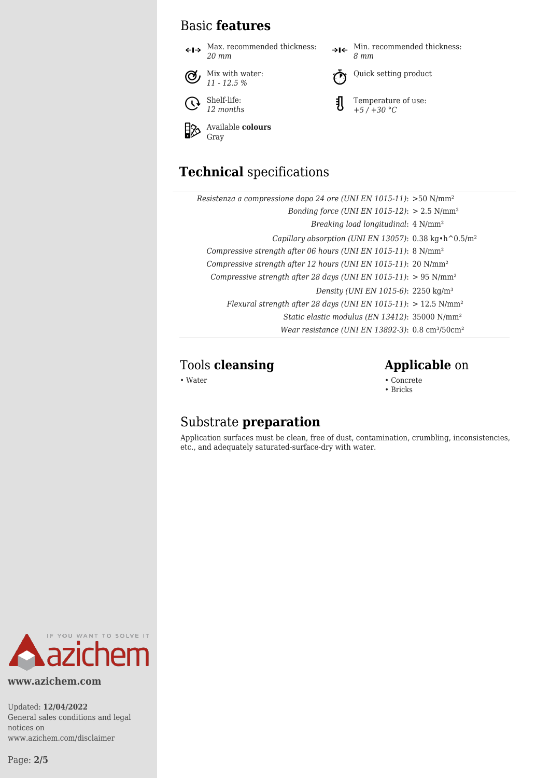### Basic **features**

 $\leftarrow\rightarrow$  Max. recommended thickness: *20 mm*



Shelf-life:  $\mathcal{O}$ *12 months*

Available **colours** ⊗ Gray

#### $\rightarrow$ I $\leftarrow$  Min. recommended thickness: *8 mm*



Quick setting product

玑 Temperature of use: *+5 / +30 °C*

# **Technical** specifications

| Resistenza a compressione dopo 24 ore (UNI EN 1015-11): $>50$ N/mm <sup>2</sup>        |
|----------------------------------------------------------------------------------------|
| Bonding force (UNI EN 1015-12): $> 2.5$ N/mm <sup>2</sup>                              |
| Breaking load longitudinal: 4 N/mm <sup>2</sup>                                        |
| Capillary absorption (UNI EN 13057): $0.38 \text{ kg} \cdot \text{h}^0 0.5/\text{m}^2$ |
| Compressive strength after 06 hours (UNI EN 1015-11): 8 N/mm <sup>2</sup>              |
| Compressive strength after 12 hours (UNI EN 1015-11): 20 N/mm <sup>2</sup>             |
| Compressive strength after 28 days (UNI EN 1015-11): $> 95$ N/mm <sup>2</sup>          |
| Density (UNI EN 1015-6): 2250 kg/m <sup>3</sup>                                        |
| Flexural strength after 28 days (UNI EN 1015-11): $> 12.5$ N/mm <sup>2</sup>           |
| Static elastic modulus (EN 13412): 35000 N/mm <sup>2</sup>                             |
| Wear resistance (UNI EN 13892-3): $0.8 \text{ cm}^3 / 50 \text{ cm}^2$                 |

### Tools **cleansing Applicable** on

• Water • Concrete • Concrete • Concrete • Concrete • Concrete • Concrete • Concrete • Concrete • Concrete • Concrete • Concrete •  $\sim$  Concrete • Concrete • Concrete • Concrete • Concrete • Concrete •  $\sim$  Concrete •  $\sim$ 

#### • Bricks

### Substrate **preparation**

Application surfaces must be clean, free of dust, contamination, crumbling, inconsistencies, etc., and adequately saturated-surface-dry with water.



**www.azichem.com**

Updated: **12/04/2022** General sales conditions and legal notices on www.azichem.com/disclaimer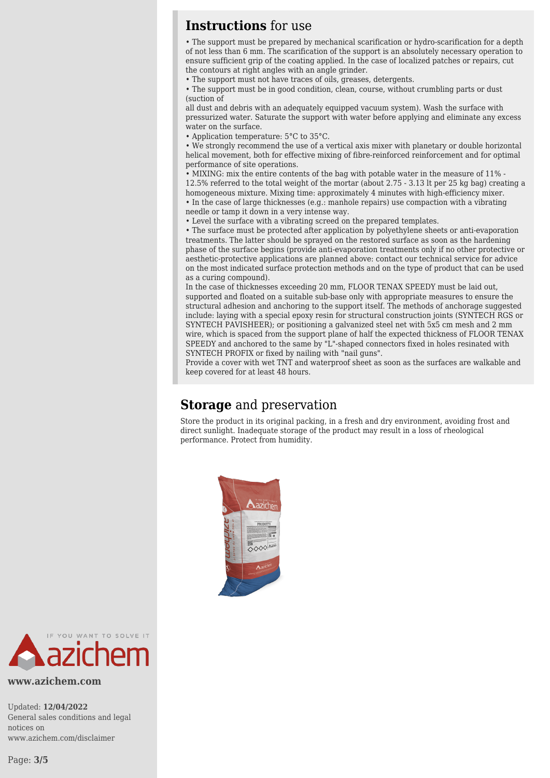### **Instructions** for use

• The support must be prepared by mechanical scarification or hydro-scarification for a depth of not less than 6 mm. The scarification of the support is an absolutely necessary operation to ensure sufficient grip of the coating applied. In the case of localized patches or repairs, cut the contours at right angles with an angle grinder.

• The support must not have traces of oils, greases, detergents.

• The support must be in good condition, clean, course, without crumbling parts or dust (suction of

all dust and debris with an adequately equipped vacuum system). Wash the surface with pressurized water. Saturate the support with water before applying and eliminate any excess water on the surface.

• Application temperature: 5°C to 35°C.

• We strongly recommend the use of a vertical axis mixer with planetary or double horizontal helical movement, both for effective mixing of fibre-reinforced reinforcement and for optimal performance of site operations.

• MIXING: mix the entire contents of the bag with potable water in the measure of 11% - 12.5% referred to the total weight of the mortar (about 2.75 - 3.13 lt per 25 kg bag) creating a homogeneous mixture. Mixing time: approximately 4 minutes with high-efficiency mixer. • In the case of large thicknesses (e.g.: manhole repairs) use compaction with a vibrating needle or tamp it down in a very intense way.

• Level the surface with a vibrating screed on the prepared templates.

• The surface must be protected after application by polyethylene sheets or anti-evaporation treatments. The latter should be sprayed on the restored surface as soon as the hardening phase of the surface begins (provide anti-evaporation treatments only if no other protective or aesthetic-protective applications are planned above: contact our technical service for advice on the most indicated surface protection methods and on the type of product that can be used as a curing compound).

In the case of thicknesses exceeding 20 mm, FLOOR TENAX SPEEDY must be laid out, supported and floated on a suitable sub-base only with appropriate measures to ensure the structural adhesion and anchoring to the support itself. The methods of anchorage suggested include: laying with a special epoxy resin for structural construction joints (SYNTECH RGS or SYNTECH PAVISHEER); or positioning a galvanized steel net with 5x5 cm mesh and 2 mm wire, which is spaced from the support plane of half the expected thickness of FLOOR TENAX SPEEDY and anchored to the same by "L"-shaped connectors fixed in holes resinated with SYNTECH PROFIX or fixed by nailing with "nail guns".

Provide a cover with wet TNT and waterproof sheet as soon as the surfaces are walkable and keep covered for at least 48 hours.

### **Storage** and preservation

Store the product in its original packing, in a fresh and dry environment, avoiding frost and direct sunlight. Inadequate storage of the product may result in a loss of rheological performance. Protect from humidity.





**www.azichem.com**

Updated: **12/04/2022** General sales conditions and legal notices on www.azichem.com/disclaimer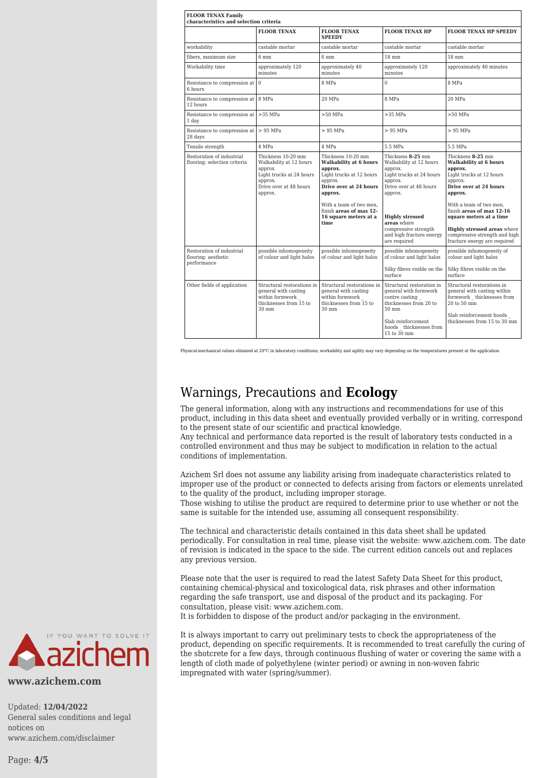| <b>FLOOR TENAX Family</b><br>characteristics and selection criteria |                                                                                                                                      |                                                                                                                                                                                                                            |                                                                                                                                                                                                                                                  |                                                                                                                                                                                                                                                                                                                              |  |
|---------------------------------------------------------------------|--------------------------------------------------------------------------------------------------------------------------------------|----------------------------------------------------------------------------------------------------------------------------------------------------------------------------------------------------------------------------|--------------------------------------------------------------------------------------------------------------------------------------------------------------------------------------------------------------------------------------------------|------------------------------------------------------------------------------------------------------------------------------------------------------------------------------------------------------------------------------------------------------------------------------------------------------------------------------|--|
|                                                                     | <b>FLOOR TENAX</b>                                                                                                                   | <b>FLOOR TENAX</b><br><b>SPEEDY</b>                                                                                                                                                                                        | <b>FLOOR TENAX HP</b>                                                                                                                                                                                                                            | <b>FLOOR TENAX HP SPEEDY</b>                                                                                                                                                                                                                                                                                                 |  |
| workability                                                         | castable mortar                                                                                                                      | castable mortar                                                                                                                                                                                                            | castable mortar                                                                                                                                                                                                                                  | castable mortar                                                                                                                                                                                                                                                                                                              |  |
| fibers, maximum size                                                | 6 mm                                                                                                                                 | 6 <sub>mm</sub>                                                                                                                                                                                                            | 18 mm                                                                                                                                                                                                                                            | 18 mm                                                                                                                                                                                                                                                                                                                        |  |
| Workability time                                                    | approximately 120<br>minutes                                                                                                         | approximately 40<br>minutes                                                                                                                                                                                                | approximately 120<br>minutes                                                                                                                                                                                                                     | approximately 40 minutes                                                                                                                                                                                                                                                                                                     |  |
| Resistance to compression at<br>6 hours                             | $\overline{0}$                                                                                                                       | 8 MPa                                                                                                                                                                                                                      | $\Omega$                                                                                                                                                                                                                                         | 8 MPa                                                                                                                                                                                                                                                                                                                        |  |
| Resistance to compression at<br>12 hours                            | 8 MPa                                                                                                                                | 20 MPa                                                                                                                                                                                                                     | 8 MPa                                                                                                                                                                                                                                            | 20 MPa                                                                                                                                                                                                                                                                                                                       |  |
| Resistance to compression at >35 MPa<br>1 day                       |                                                                                                                                      | $>50$ MPa                                                                                                                                                                                                                  | $>35$ MPa                                                                                                                                                                                                                                        | $>50$ MPa                                                                                                                                                                                                                                                                                                                    |  |
| Resistance to compression at<br>28 days                             | > 95 MPa                                                                                                                             | > 95 MPa                                                                                                                                                                                                                   | $> 95$ MPa                                                                                                                                                                                                                                       | $> 95$ MPa                                                                                                                                                                                                                                                                                                                   |  |
| Tensile strength                                                    | 4 MPa                                                                                                                                | 4 MPa                                                                                                                                                                                                                      | 5.5 MPa                                                                                                                                                                                                                                          | 5.5 MPa                                                                                                                                                                                                                                                                                                                      |  |
| Restoration of industrial<br>flooring: selection criteria           | Thickness 10-20 mm<br>Walkability at 12 hours<br>approx.<br>Light trucks at 24 hours<br>approx.<br>Drive over at 48 hours<br>approx. | Thickness 10-20 mm<br>Walkability at 6 hours<br>approx.<br>Light trucks at 12 hours<br>approx.<br>Drive over at 24 hours<br>approx.<br>With a team of two men.<br>finish areas of max 12-<br>16 square meters at a<br>time | Thickness 8-25 mm<br>Walkability at 12 hours<br>approx.<br>Light trucks at 24 hours<br>approx.<br>Drive over at 48 hours<br>approx.<br><b>Highly stressed</b><br>areas where<br>compressive strength<br>and high fracture energy<br>are required | Thickness 8-25 mm<br>Walkability at 6 hours<br>approx.<br>Light trucks at 12 hours<br>approx.<br>Drive over at 24 hours<br>approx.<br>With a team of two men.<br>finish areas of max 12-16<br>square meters at a time<br><b>Highly stressed areas where</b><br>compressive strength and high<br>fracture energy are required |  |
| Restoration of industrial<br>flooring: aesthetic<br>performance     | possible inhomogeneity<br>of colour and light halos                                                                                  | possible inhomogeneity<br>of colour and light halos                                                                                                                                                                        | possible inhomogeneity<br>of colour and light halos<br>Silky fibres visible on the<br>surface                                                                                                                                                    | possible inhomogeneity of<br>colour and light halos<br>Silky fibres visible on the<br>surface                                                                                                                                                                                                                                |  |
| Other fields of application                                         | Structural restorations in<br>general with casting<br>within formwork<br>thicknesses from 15 to<br>$30 \text{ mm}$                   | Structural restorations in<br>general with casting<br>within formwork<br>thicknesses from 15 to<br>30 mm                                                                                                                   | Structural restoration in<br>general with formwork<br>centre casting<br>thicknesses from 20 to<br>50 mm<br>Slab reinforcement.<br>hoods thicknesses from<br>15 to 30 mm                                                                          | Structural restorations in<br>general with casting within<br>formwork thicknesses from<br>20 to 50 mm<br>Slab reinforcement hoods<br>thicknesses from 15 to 30 mm                                                                                                                                                            |  |

Physical-mechanical values obtained at 20°C in laboratory conditions; workability and agility may vary depending on the temperatures present at the application

### Warnings, Precautions and **Ecology**

The general information, along with any instructions and recommendations for use of this product, including in this data sheet and eventually provided verbally or in writing, correspond to the present state of our scientific and practical knowledge.

Any technical and performance data reported is the result of laboratory tests conducted in a controlled environment and thus may be subject to modification in relation to the actual conditions of implementation.

Azichem Srl does not assume any liability arising from inadequate characteristics related to improper use of the product or connected to defects arising from factors or elements unrelated to the quality of the product, including improper storage.

Those wishing to utilise the product are required to determine prior to use whether or not the same is suitable for the intended use, assuming all consequent responsibility.

The technical and characteristic details contained in this data sheet shall be updated periodically. For consultation in real time, please visit the website: www.azichem.com. The date of revision is indicated in the space to the side. The current edition cancels out and replaces any previous version.

Please note that the user is required to read the latest Safety Data Sheet for this product, containing chemical-physical and toxicological data, risk phrases and other information regarding the safe transport, use and disposal of the product and its packaging. For consultation, please visit: www.azichem.com.

It is forbidden to dispose of the product and/or packaging in the environment.

It is always important to carry out preliminary tests to check the appropriateness of the product, depending on specific requirements. It is recommended to treat carefully the curing of the shotcrete for a few days, through continuous flushing of water or covering the same with a length of cloth made of polyethylene (winter period) or awning in non-woven fabric impregnated with water (spring/summer).



**www.azichem.com**

Updated: **12/04/2022** General sales conditions and legal notices on www.azichem.com/disclaimer